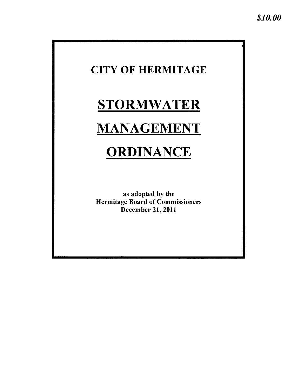## **CITY OF HERMITAGE**

## **STORMWATER**

## **MANAGEMENT**

# ORDINANCE

as adopted by the **Hermitage Board of Commissioners December 21, 2011**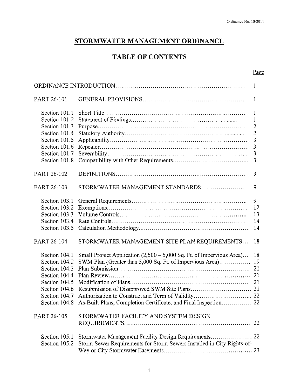## STORMWATER MANAGEMENT ORDINANCE

## **TABLE OF CONTENTS**

#### Page

| PART 26-101                                                                                                                          |                                                                                                                                                                                                                   | 1                                                                                        |  |
|--------------------------------------------------------------------------------------------------------------------------------------|-------------------------------------------------------------------------------------------------------------------------------------------------------------------------------------------------------------------|------------------------------------------------------------------------------------------|--|
| Section 101.1<br>Section 101.2<br>Section 101.3<br>Section 101.4<br>Section 101.5<br>Section 101.6<br>Section 101.7<br>Section 101.8 |                                                                                                                                                                                                                   | 1<br>1<br>$\overline{2}$<br>$\overline{2}$<br>3<br>$\mathfrak{Z}$<br>$\overline{3}$<br>3 |  |
| PART 26-102                                                                                                                          |                                                                                                                                                                                                                   | 3                                                                                        |  |
| PART 26-103                                                                                                                          | STORMWATER MANAGEMENT STANDARDS                                                                                                                                                                                   | 9                                                                                        |  |
| Section 103.1<br>Section 103.2<br>Section 103.3<br>Section 103.4<br>Section 103.5                                                    |                                                                                                                                                                                                                   | 9<br>12<br>13<br>14<br>14                                                                |  |
| PART 26-104                                                                                                                          | STORMWATER MANAGEMENT SITE PLAN REQUIREMENTS                                                                                                                                                                      | 18                                                                                       |  |
| Section 104.1<br>Section 104.2<br>Section 104.3<br>Section 104.4<br>Section 104.5<br>Section 104.6<br>Section 104.7                  | Small Project Application (2,500 – 5,000 Sq. Ft. of Impervious Area)<br>SWM Plan (Greater than 5,000 Sq. Ft. of Impervious Area)<br>Section 104.8 As-Built Plans, Completion Certificate, and Final Inspection 22 | 18<br>19<br>21                                                                           |  |
| PART 26-105                                                                                                                          | STORMWATER FACILITY AND SYSTEM DESIGN                                                                                                                                                                             |                                                                                          |  |
| Section 105.1<br>Section 105.2                                                                                                       | Storm Sewer Requirements for Storm Sewers Installed in City Rights-of-                                                                                                                                            |                                                                                          |  |

 $\sim$   $\sim$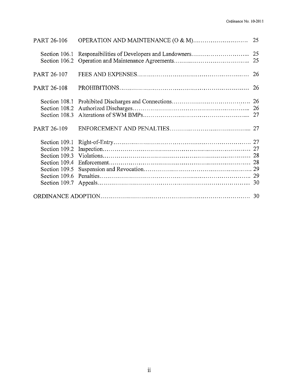| PART 26-106                                     |  |  |  |  |
|-------------------------------------------------|--|--|--|--|
|                                                 |  |  |  |  |
| PART 26-107                                     |  |  |  |  |
| PART 26-108                                     |  |  |  |  |
|                                                 |  |  |  |  |
| PART 26-109                                     |  |  |  |  |
| Section 109.5<br>Section 109.6<br>Section 109.7 |  |  |  |  |
|                                                 |  |  |  |  |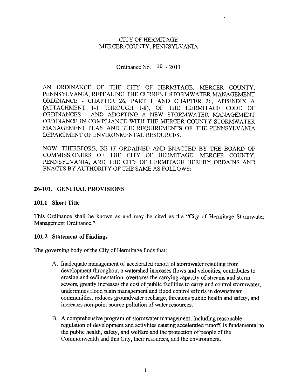#### **CITY OF HERMITAGE** MERCER COUNTY, PENNSYLVANIA

Ordinance No.  $10 - 2011$ 

AN ORDINANCE OF THE CITY OF HERMITAGE, MERCER COUNTY, PENNSYLVANIA, REPEALING THE CURRENT STORMWATER MANAGEMENT ORDINANCE - CHAPTER 26, PART 1 AND CHAPTER 26, APPENDIX A (ATTACHMENT 1-1 THROUGH 1-8), OF THE HERMITAGE CODE OF ORDINANCES - AND ADOPTING A NEW STORMWATER MANAGEMENT ORDINANCE IN COMPLIANCE WITH THE MERCER COUNTY STORMWATER MANAGEMENT PLAN AND THE REQUIREMENTS OF THE PENNSYLVANIA DEPARTMENT OF ENVIRONMENTAL RESOURCES.

NOW, THEREFORE, BE IT ORDAINED AND ENACTED BY THE BOARD OF COMMISSIONERS OF THE CITY OF HERMITAGE, MERCER COUNTY, PENNSYLVANIA, AND THE CITY OF HERMITAGE HEREBY ORDAINS AND ENACTS BY AUTHORITY OF THE SAME AS FOLLOWS:

#### 26-101. GENERAL PROVISIONS

#### 101.1 Short Title

This Ordinance shall be known as and may be cited as the "City of Hermitage Stormwater" Management Ordinance."

#### 101.2 Statement of Findings

The governing body of the City of Hermitage finds that:

- A. Inadequate management of accelerated runoff of stormwater resulting from development throughout a watershed increases flows and velocities, contributes to erosion and sedimentation, overtaxes the carrying capacity of streams and storm sewers, greatly increases the cost of public facilities to carry and control stormwater, undermines flood plain management and flood control efforts in downstream communities, reduces groundwater recharge, threatens public health and safety, and increases non-point source pollution of water resources.
- B. A comprehensive program of stormwater management, including reasonable regulation of development and activities causing accelerated runoff, is fundamental to the public health, safety, and welfare and the protection of people of the Commonwealth and this City, their resources, and the environment.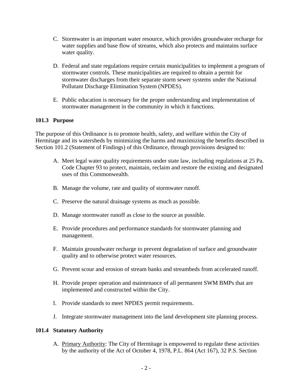- C. Stormwater is an important water resource, which provides groundwater recharge for water supplies and base flow of streams, which also protects and maintains surface water quality.
- D. Federal and state regulations require certain municipalities to implement a program of stormwater controls. These municipalities are required to obtain a permit for stormwater discharges from their separate storm sewer systems under the National Pollutant Discharge Elimination System (NPDES).
- E. Public education is necessary for the proper understanding and implementation of stormwater management in the community in which it functions.

#### **101.3 Purpose**

The purpose of this Ordinance is to promote health, safety, and welfare within the City of Hermitage and its watersheds by minimizing the harms and maximizing the benefits described in Section 101.2 (Statement of Findings) of this Ordinance, through provisions designed to:

- A. Meet legal water quality requirements under state law, including regulations at 25 Pa. Code Chapter 93 to protect, maintain, reclaim and restore the existing and designated uses of this Commonwealth.
- B. Manage the volume, rate and quality of stormwater runoff.
- C. Preserve the natural drainage systems as much as possible.
- D. Manage stormwater runoff as close to the source as possible.
- E. Provide procedures and performance standards for stormwater planning and management.
- F. Maintain groundwater recharge to prevent degradation of surface and groundwater quality and to otherwise protect water resources.
- G. Prevent scour and erosion of stream banks and streambeds from accelerated runoff.
- H. Provide proper operation and maintenance of all permanent SWM BMPs that are implemented and constructed within the City.
- I. Provide standards to meet NPDES permit requirements.
- J. Integrate stormwater management into the land development site planning process.

#### **101.4 Statutory Authority**

A. Primary Authority: The City of Hermitage is empowered to regulate these activities by the authority of the Act of October 4, 1978, P.L. 864 (Act 167), 32 P.S. Section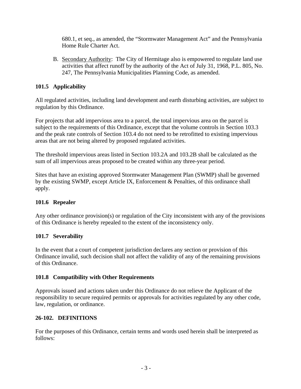680.1, et seq., as amended, the "Stormwater Management Act" and the Pennsylvania Home Rule Charter Act.

B. Secondary Authority: The City of Hermitage also is empowered to regulate land use activities that affect runoff by the authority of the Act of July 31, 1968, P.L. 805, No. 247, The Pennsylvania Municipalities Planning Code, as amended.

## **101.5 Applicability**

All regulated activities, including land development and earth disturbing activities, are subject to regulation by this Ordinance.

For projects that add impervious area to a parcel, the total impervious area on the parcel is subject to the requirements of this Ordinance, except that the volume controls in Section 103.3 and the peak rate controls of Section 103.4 do not need to be retrofitted to existing impervious areas that are not being altered by proposed regulated activities.

The threshold impervious areas listed in Section 103.2A and 103.2B shall be calculated as the sum of all impervious areas proposed to be created within any three-year period.

Sites that have an existing approved Stormwater Management Plan (SWMP) shall be governed by the existing SWMP, except Article IX, Enforcement & Penalties, of this ordinance shall apply.

## **101.6 Repealer**

Any other ordinance provision(s) or regulation of the City inconsistent with any of the provisions of this Ordinance is hereby repealed to the extent of the inconsistency only.

## **101.7 Severability**

In the event that a court of competent jurisdiction declares any section or provision of this Ordinance invalid, such decision shall not affect the validity of any of the remaining provisions of this Ordinance.

## **101.8 Compatibility with Other Requirements**

Approvals issued and actions taken under this Ordinance do not relieve the Applicant of the responsibility to secure required permits or approvals for activities regulated by any other code, law, regulation, or ordinance.

## **26-102. DEFINITIONS**

For the purposes of this Ordinance, certain terms and words used herein shall be interpreted as follows: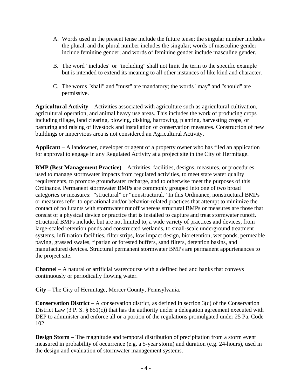- A. Words used in the present tense include the future tense; the singular number includes the plural, and the plural number includes the singular; words of masculine gender include feminine gender; and words of feminine gender include masculine gender.
- B. The word "includes" or "including" shall not limit the term to the specific example but is intended to extend its meaning to all other instances of like kind and character.
- C. The words "shall" and "must" are mandatory; the words "may" and "should" are permissive.

**Agricultural Activity** – Activities associated with agriculture such as agricultural cultivation, agricultural operation, and animal heavy use areas. This includes the work of producing crops including tillage, land clearing, plowing, disking, harrowing, planting, harvesting crops, or pasturing and raising of livestock and installation of conservation measures. Construction of new buildings or impervious area is not considered an Agricultural Activity.

**Applicant** – A landowner, developer or agent of a property owner who has filed an application for approval to engage in any Regulated Activity at a project site in the City of Hermitage.

**BMP (Best Management Practice)** – Activities, facilities, designs, measures, or procedures used to manage stormwater impacts from regulated activities, to meet state water quality requirements, to promote groundwater recharge, and to otherwise meet the purposes of this Ordinance. Permanent stormwater BMPs are commonly grouped into one of two broad categories or measures: "structural" or "nonstructural." In this Ordinance, nonstructural BMPs or measures refer to operational and/or behavior-related practices that attempt to minimize the contact of pollutants with stormwater runoff whereas structural BMPs or measures are those that consist of a physical device or practice that is installed to capture and treat stormwater runoff. Structural BMPs include, but are not limited to, a wide variety of practices and devices, from large-scaled retention ponds and constructed wetlands, to small-scale underground treatment systems, infiltration facilities, filter strips, low impact design, bioretention, wet ponds, permeable paving, grassed swales, riparian or forested buffers, sand filters, detention basins, and manufactured devices. Structural permanent stormwater BMPs are permanent appurtenances to the project site.

**Channel** – A natural or artificial watercourse with a defined bed and banks that conveys continuously or periodically flowing water.

**City** – The City of Hermitage, Mercer County, Pennsylvania.

**Conservation District** – A conservation district, as defined in section 3(c) of the Conservation District Law (3 P. S. § 851(c)) that has the authority under a delegation agreement executed with DEP to administer and enforce all or a portion of the regulations promulgated under 25 Pa. Code 102.

**Design Storm** – The magnitude and temporal distribution of precipitation from a storm event measured in probability of occurrence (e.g. a 5-year storm) and duration (e.g. 24-hours), used in the design and evaluation of stormwater management systems.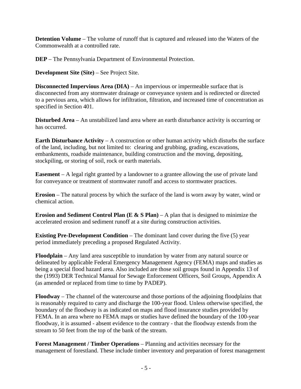**Detention Volume** – The volume of runoff that is captured and released into the Waters of the Commonwealth at a controlled rate.

**DEP** – The Pennsylvania Department of Environmental Protection.

**Development Site (Site)** – See Project Site.

**Disconnected Impervious Area (DIA)** – An impervious or impermeable surface that is disconnected from any stormwater drainage or conveyance system and is redirected or directed to a pervious area, which allows for infiltration, filtration, and increased time of concentration as specified in Section 401.

**Disturbed Area** – An unstabilized land area where an earth disturbance activity is occurring or has occurred.

**Earth Disturbance Activity** – A construction or other human activity which disturbs the surface of the land, including, but not limited to: clearing and grubbing, grading, excavations, embankments, roadside maintenance, building construction and the moving, depositing, stockpiling, or storing of soil, rock or earth materials.

**Easement** – A legal right granted by a landowner to a grantee allowing the use of private land for conveyance or treatment of stormwater runoff and access to stormwater practices.

**Erosion** – The natural process by which the surface of the land is worn away by water, wind or chemical action.

**Erosion and Sediment Control Plan (E**  $\&$  **S Plan)** – A plan that is designed to minimize the accelerated erosion and sediment runoff at a site during construction activities.

**Existing Pre-Development Condition** – The dominant land cover during the five (5) year period immediately preceding a proposed Regulated Activity.

**Floodplain** – Any land area susceptible to inundation by water from any natural source or delineated by applicable Federal Emergency Management Agency (FEMA) maps and studies as being a special flood hazard area. Also included are those soil groups found in Appendix 13 of the (1993) DER Technical Manual for Sewage Enforcement Officers, Soil Groups, Appendix A (as amended or replaced from time to time by PADEP).

**Floodway** – The channel of the watercourse and those portions of the adjoining floodplains that is reasonably required to carry and discharge the 100-year flood. Unless otherwise specified, the boundary of the floodway is as indicated on maps and flood insurance studies provided by FEMA. In an area where no FEMA maps or studies have defined the boundary of the 100-year floodway, it is assumed - absent evidence to the contrary - that the floodway extends from the stream to 50 feet from the top of the bank of the stream.

**Forest Management / Timber Operations** – Planning and activities necessary for the management of forestland. These include timber inventory and preparation of forest management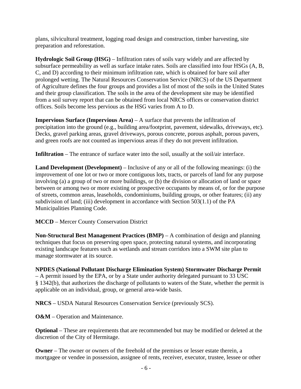plans, silvicultural treatment, logging road design and construction, timber harvesting, site preparation and reforestation.

**Hydrologic Soil Group (HSG)** – Infiltration rates of soils vary widely and are affected by subsurface permeability as well as surface intake rates. Soils are classified into four HSGs (A, B, C, and D) according to their minimum infiltration rate, which is obtained for bare soil after prolonged wetting. The Natural Resources Conservation Service (NRCS) of the US Department of Agriculture defines the four groups and provides a list of most of the soils in the United States and their group classification. The soils in the area of the development site may be identified from a soil survey report that can be obtained from local NRCS offices or conservation district offices. Soils become less pervious as the HSG varies from A to D.

**Impervious Surface (Impervious Area)** – A surface that prevents the infiltration of precipitation into the ground (e.g., building area/footprint, pavement, sidewalks, driveways, etc). Decks, gravel parking areas, gravel driveways, porous concrete, porous asphalt, porous pavers, and green roofs are not counted as impervious areas if they do not prevent infiltration.

**Infiltration** – The entrance of surface water into the soil, usually at the soil/air interface.

**Land Development (Development)** – Inclusive of any or all of the following meanings: (i) the improvement of one lot or two or more contiguous lots, tracts, or parcels of land for any purpose involving (a) a group of two or more buildings, or (b) the division or allocation of land or space between or among two or more existing or prospective occupants by means of, or for the purpose of streets, common areas, leaseholds, condominiums, building groups, or other features; (ii) any subdivision of land; (iii) development in accordance with Section 503(1.1) of the PA Municipalities Planning Code.

**MCCD** – Mercer County Conservation District

**Non-Structural Best Management Practices (BMP)** – A combination of design and planning techniques that focus on preserving open space, protecting natural systems, and incorporating existing landscape features such as wetlands and stream corridors into a SWM site plan to manage stormwater at its source.

**NPDES (National Pollutant Discharge Elimination System) Stormwater Discharge Permit**  – A permit issued by the EPA, or by a State under authority delegated pursuant to 33 USC § 1342(b), that authorizes the discharge of pollutants to waters of the State, whether the permit is applicable on an individual, group, or general area-wide basis.

**NRCS** – USDA Natural Resources Conservation Service (previously SCS).

**O&M** – Operation and Maintenance.

**Optional** – These are requirements that are recommended but may be modified or deleted at the discretion of the City of Hermitage.

**Owner** – The owner or owners of the freehold of the premises or lesser estate therein, a mortgagee or vendee in possession, assignee of rents, receiver, executor, trustee, lessee or other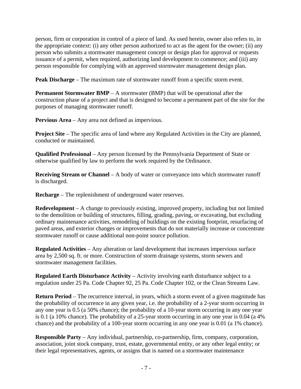person, firm or corporation in control of a piece of land. As used herein, owner also refers to, in the appropriate context: (i) any other person authorized to act as the agent for the owner; (ii) any person who submits a stormwater management concept or design plan for approval or requests issuance of a permit, when required, authorizing land development to commence; and (iii) any person responsible for complying with an approved stormwater management design plan.

**Peak Discharge** – The maximum rate of stormwater runoff from a specific storm event.

**Permanent Stormwater BMP** – A stormwater (BMP) that will be operational after the construction phase of a project and that is designed to become a permanent part of the site for the purposes of managing stormwater runoff.

**Pervious Area** – Any area not defined as impervious.

**Project Site** – The specific area of land where any Regulated Activities in the City are planned, conducted or maintained.

**Qualified Professional** – Any person licensed by the Pennsylvania Department of State or otherwise qualified by law to perform the work required by the Ordinance.

**Receiving Stream or Channel** – A body of water or conveyance into which stormwater runoff is discharged.

**Recharge** – The replenishment of underground water reserves.

**Redevelopment** – A change to previously existing, improved property, including but not limited to the demolition or building of structures, filling, grading, paving, or excavating, but excluding ordinary maintenance activities, remodeling of buildings on the existing footprint, resurfacing of paved areas, and exterior changes or improvements that do not materially increase or concentrate stormwater runoff or cause additional non-point source pollution.

**Regulated Activities** – Any alteration or land development that increases impervious surface area by 2,500 sq. ft. or more. Construction of storm drainage systems, storm sewers and stormwater management facilities.

**Regulated Earth Disturbance Activity** – Activity involving earth disturbance subject to a regulation under 25 Pa. Code Chapter 92, 25 Pa. Code Chapter 102, or the Clean Streams Law.

**Return Period** – The recurrence interval, in years, which a storm event of a given magnitude has the probability of occurrence in any given year, i.e. the probability of a 2-year storm occurring in any one year is 0.5 (a 50% chance); the probability of a 10-year storm occurring in any one year is 0.1 (a 10% chance). The probability of a 25-year storm occurring in any one year is 0.04 (a 4% chance) and the probability of a 100-year storm occurring in any one year is 0.01 (a 1% chance).

**Responsible Party** – Any individual, partnership, co-partnership, firm, company, corporation, association, joint stock company, trust, estate, governmental entity, or any other legal entity; or their legal representatives, agents, or assigns that is named on a stormwater maintenance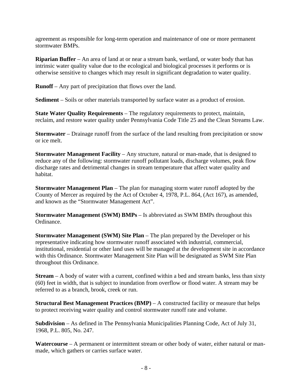agreement as responsible for long-term operation and maintenance of one or more permanent stormwater BMPs.

**Riparian Buffer** – An area of land at or near a stream bank, wetland, or water body that has intrinsic water quality value due to the ecological and biological processes it performs or is otherwise sensitive to changes which may result in significant degradation to water quality.

**Runoff** – Any part of precipitation that flows over the land.

**Sediment** – Soils or other materials transported by surface water as a product of erosion.

**State Water Quality Requirements** – The regulatory requirements to protect, maintain, reclaim, and restore water quality under Pennsylvania Code Title 25 and the Clean Streams Law.

**Stormwater** – Drainage runoff from the surface of the land resulting from precipitation or snow or ice melt.

**Stormwater Management Facility** – Any structure, natural or man-made, that is designed to reduce any of the following: stormwater runoff pollutant loads, discharge volumes, peak flow discharge rates and detrimental changes in stream temperature that affect water quality and habitat.

**Stormwater Management Plan** – The plan for managing storm water runoff adopted by the County of Mercer as required by the Act of October 4, 1978, P.L. 864, (Act 167), as amended, and known as the "Stormwater Management Act".

**Stormwater Management (SWM) BMPs** – Is abbreviated as SWM BMPs throughout this Ordinance.

**Stormwater Management (SWM) Site Plan** – The plan prepared by the Developer or his representative indicating how stormwater runoff associated with industrial, commercial, institutional, residential or other land uses will be managed at the development site in accordance with this Ordinance. Stormwater Management Site Plan will be designated as SWM Site Plan throughout this Ordinance.

**Stream** – A body of water with a current, confined within a bed and stream banks, less than sixty (60) feet in width, that is subject to inundation from overflow or flood water. A stream may be referred to as a branch, brook, creek or run.

**Structural Best Management Practices (BMP)** – A constructed facility or measure that helps to protect receiving water quality and control stormwater runoff rate and volume.

**Subdivision** – As defined in The Pennsylvania Municipalities Planning Code, Act of July 31, 1968, P.L. 805, No. 247.

**Watercourse** – A permanent or intermittent stream or other body of water, either natural or manmade, which gathers or carries surface water.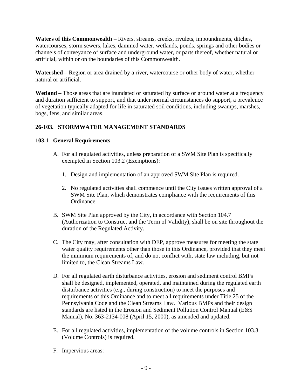**Waters of this Commonwealth** – Rivers, streams, creeks, rivulets, impoundments, ditches, watercourses, storm sewers, lakes, dammed water, wetlands, ponds, springs and other bodies or channels of conveyance of surface and underground water, or parts thereof, whether natural or artificial, within or on the boundaries of this Commonwealth.

**Watershed** – Region or area drained by a river, watercourse or other body of water, whether natural or artificial.

**Wetland** – Those areas that are inundated or saturated by surface or ground water at a frequency and duration sufficient to support, and that under normal circumstances do support, a prevalence of vegetation typically adapted for life in saturated soil conditions, including swamps, marshes, bogs, fens, and similar areas.

## **26-103. STORMWATER MANAGEMENT STANDARDS**

## **103.1 General Requirements**

- A. For all regulated activities, unless preparation of a SWM Site Plan is specifically exempted in Section 103.2 (Exemptions):
	- 1. Design and implementation of an approved SWM Site Plan is required.
	- 2. No regulated activities shall commence until the City issues written approval of a SWM Site Plan, which demonstrates compliance with the requirements of this Ordinance.
- B. SWM Site Plan approved by the City, in accordance with Section 104.7 (Authorization to Construct and the Term of Validity), shall be on site throughout the duration of the Regulated Activity.
- C. The City may, after consultation with DEP, approve measures for meeting the state water quality requirements other than those in this Ordinance, provided that they meet the minimum requirements of, and do not conflict with, state law including, but not limited to, the Clean Streams Law.
- D. For all regulated earth disturbance activities, erosion and sediment control BMPs shall be designed, implemented, operated, and maintained during the regulated earth disturbance activities (e.g., during construction) to meet the purposes and requirements of this Ordinance and to meet all requirements under Title 25 of the Pennsylvania Code and the Clean Streams Law. Various BMPs and their design standards are listed in the Erosion and Sediment Pollution Control Manual (E&S Manual), No. 363-2134-008 (April 15, 2000), as amended and updated.
- E. For all regulated activities, implementation of the volume controls in Section 103.3 (Volume Controls) is required.
- F. Impervious areas: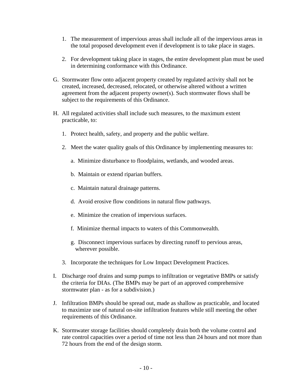- 1. The measurement of impervious areas shall include all of the impervious areas in the total proposed development even if development is to take place in stages.
- 2. For development taking place in stages, the entire development plan must be used in determining conformance with this Ordinance.
- G. Stormwater flow onto adjacent property created by regulated activity shall not be created, increased, decreased, relocated, or otherwise altered without a written agreement from the adjacent property owner(s). Such stormwater flows shall be subject to the requirements of this Ordinance.
- H. All regulated activities shall include such measures, to the maximum extent practicable, to:
	- 1. Protect health, safety, and property and the public welfare.
	- 2. Meet the water quality goals of this Ordinance by implementing measures to:
		- a. Minimize disturbance to floodplains, wetlands, and wooded areas.
		- b. Maintain or extend riparian buffers.
		- c. Maintain natural drainage patterns.
		- d. Avoid erosive flow conditions in natural flow pathways.
		- e. Minimize the creation of impervious surfaces.
		- f. Minimize thermal impacts to waters of this Commonwealth.
		- g. Disconnect impervious surfaces by directing runoff to pervious areas, wherever possible.
	- 3. Incorporate the techniques for Low Impact Development Practices.
- I. Discharge roof drains and sump pumps to infiltration or vegetative BMPs or satisfy the criteria for DIAs. (The BMPs may be part of an approved comprehensive stormwater plan - as for a subdivision.)
- J. Infiltration BMPs should be spread out, made as shallow as practicable, and located to maximize use of natural on-site infiltration features while still meeting the other requirements of this Ordinance.
- K. Stormwater storage facilities should completely drain both the volume control and rate control capacities over a period of time not less than 24 hours and not more than 72 hours from the end of the design storm.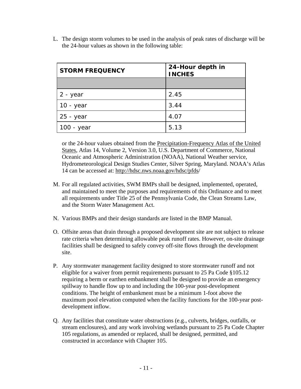L. The design storm volumes to be used in the analysis of peak rates of discharge will be the 24-hour values as shown in the following table:

| <b>STORM FREQUENCY</b> | 24-Hour depth in<br><b>INCHES</b> |
|------------------------|-----------------------------------|
|                        |                                   |
| 2 - year               | 2.45                              |
| 10 - year              | 3.44                              |
| 25 - year              | 4.07                              |
| 100 - year             | 5.13                              |

or the 24-hour values obtained from the Precipitation-Frequency Atlas of the United States, Atlas 14, Volume 2, Version 3.0, U.S. Department of Commerce, National Oceanic and Atmospheric Administration (NOAA), National Weather service, Hydrometeorological Design Studies Center, Silver Spring, Maryland. NOAA's Atlas 14 can be accessed at: http://hdsc.nws.noaa.gov/hdsc/pfds/

- M. For all regulated activities, SWM BMPs shall be designed, implemented, operated, and maintained to meet the purposes and requirements of this Ordinance and to meet all requirements under Title 25 of the Pennsylvania Code, the Clean Streams Law, and the Storm Water Management Act.
- N. Various BMPs and their design standards are listed in the BMP Manual.
- O. Offsite areas that drain through a proposed development site are not subject to release rate criteria when determining allowable peak runoff rates. However, on-site drainage facilities shall be designed to safely convey off-site flows through the development site.
- P. Any stormwater management facility designed to store stormwater runoff and not eligible for a waiver from permit requirements pursuant to 25 Pa Code §105.12 requiring a berm or earthen embankment shall be designed to provide an emergency spillway to handle flow up to and including the 100-year post-development conditions. The height of embankment must be a minimum 1-foot above the maximum pool elevation computed when the facility functions for the 100-year postdevelopment inflow.
- Q. Any facilities that constitute water obstructions (e.g., culverts, bridges, outfalls, or stream enclosures), and any work involving wetlands pursuant to 25 Pa Code Chapter 105 regulations, as amended or replaced, shall be designed, permitted, and constructed in accordance with Chapter 105.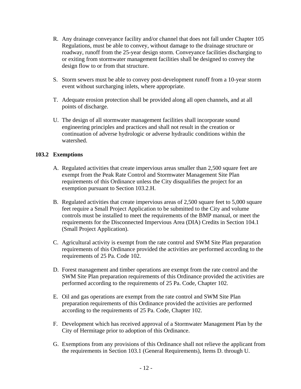- R. Any drainage conveyance facility and/or channel that does not fall under Chapter 105 Regulations, must be able to convey, without damage to the drainage structure or roadway, runoff from the 25-year design storm. Conveyance facilities discharging to or exiting from stormwater management facilities shall be designed to convey the design flow to or from that structure.
- S. Storm sewers must be able to convey post-development runoff from a 10-year storm event without surcharging inlets, where appropriate.
- T. Adequate erosion protection shall be provided along all open channels, and at all points of discharge.
- U. The design of all stormwater management facilities shall incorporate sound engineering principles and practices and shall not result in the creation or continuation of adverse hydrologic or adverse hydraulic conditions within the watershed.

## **103.2 Exemptions**

- A. Regulated activities that create impervious areas smaller than 2,500 square feet are exempt from the Peak Rate Control and Stormwater Management Site Plan requirements of this Ordinance unless the City disqualifies the project for an exemption pursuant to Section 103.2.H.
- B. Regulated activities that create impervious areas of 2,500 square feet to 5,000 square feet require a Small Project Application to be submitted to the City and volume controls must be installed to meet the requirements of the BMP manual, or meet the requirements for the Disconnected Impervious Area (DIA) Credits in Section 104.1 (Small Project Application).
- C. Agricultural activity is exempt from the rate control and SWM Site Plan preparation requirements of this Ordinance provided the activities are performed according to the requirements of 25 Pa. Code 102.
- D. Forest management and timber operations are exempt from the rate control and the SWM Site Plan preparation requirements of this Ordinance provided the activities are performed according to the requirements of 25 Pa. Code, Chapter 102.
- E. Oil and gas operations are exempt from the rate control and SWM Site Plan preparation requirements of this Ordinance provided the activities are performed according to the requirements of 25 Pa. Code, Chapter 102.
- F. Development which has received approval of a Stormwater Management Plan by the City of Hermitage prior to adoption of this Ordinance.
- G. Exemptions from any provisions of this Ordinance shall not relieve the applicant from the requirements in Section 103.1 (General Requirements), Items D. through U.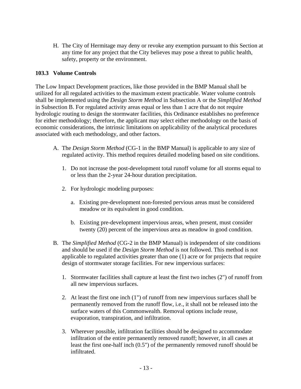H. The City of Hermitage may deny or revoke any exemption pursuant to this Section at any time for any project that the City believes may pose a threat to public health, safety, property or the environment.

#### **103.3 Volume Controls**

The Low Impact Development practices, like those provided in the BMP Manual shall be utilized for all regulated activities to the maximum extent practicable. Water volume controls shall be implemented using the *Design Storm Method* in Subsection A or the *Simplified Method* in Subsection B. For regulated activity areas equal or less than 1 acre that do not require hydrologic routing to design the stormwater facilities, this Ordinance establishes no preference for either methodology; therefore, the applicant may select either methodology on the basis of economic considerations, the intrinsic limitations on applicability of the analytical procedures associated with each methodology, and other factors.

- A. The *Design Storm Method* (CG-1 in the BMP Manual) is applicable to any size of regulated activity. This method requires detailed modeling based on site conditions.
	- 1. Do not increase the post-development total runoff volume for all storms equal to or less than the 2-year 24-hour duration precipitation.
	- 2. For hydrologic modeling purposes:
		- a. Existing pre-development non-forested pervious areas must be considered meadow or its equivalent in good condition.
		- b. Existing pre-development impervious areas, when present, must consider twenty (20) percent of the impervious area as meadow in good condition.
- B. The *Simplified Method* (CG-2 in the BMP Manual) is independent of site conditions and should be used if the *Design Storm Method* is not followed. This method is not applicable to regulated activities greater than one (1) acre or for projects that require design of stormwater storage facilities. For new impervious surfaces:
	- 1. Stormwater facilities shall capture at least the first two inches (2") of runoff from all new impervious surfaces.
	- 2. At least the first one inch (1") of runoff from new impervious surfaces shall be permanently removed from the runoff flow, i.e., it shall not be released into the surface waters of this Commonwealth. Removal options include reuse, evaporation, transpiration, and infiltration.
	- 3. Wherever possible, infiltration facilities should be designed to accommodate infiltration of the entire permanently removed runoff; however, in all cases at least the first one-half inch (0.5") of the permanently removed runoff should be infiltrated.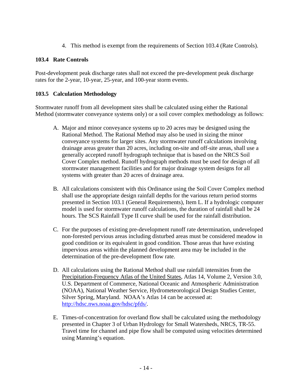4. This method is exempt from the requirements of Section 103.4 (Rate Controls).

## **103.4 Rate Controls**

Post-development peak discharge rates shall not exceed the pre-development peak discharge rates for the 2-year, 10-year, 25-year, and 100-year storm events.

## **103.5 Calculation Methodology**

Stormwater runoff from all development sites shall be calculated using either the Rational Method (stormwater conveyance systems only) or a soil cover complex methodology as follows:

- A. Major and minor conveyance systems up to 20 acres may be designed using the Rational Method. The Rational Method may also be used in sizing the minor conveyance systems for larger sites. Any stormwater runoff calculations involving drainage areas greater than 20 acres, including on-site and off-site areas, shall use a generally accepted runoff hydrograph technique that is based on the NRCS Soil Cover Complex method. Runoff hydrograph methods must be used for design of all stormwater management facilities and for major drainage system designs for all systems with greater than 20 acres of drainage area.
- B. All calculations consistent with this Ordinance using the Soil Cover Complex method shall use the appropriate design rainfall depths for the various return period storms presented in Section 103.1 (General Requirements), Item L. If a hydrologic computer model is used for stormwater runoff calculations, the duration of rainfall shall be 24 hours. The SCS Rainfall Type II curve shall be used for the rainfall distribution.
- C. For the purposes of existing pre-development runoff rate determination, undeveloped non-forested pervious areas including disturbed areas must be considered meadow in good condition or its equivalent in good condition. Those areas that have existing impervious areas within the planned development area may be included in the determination of the pre-development flow rate.
- D. All calculations using the Rational Method shall use rainfall intensities from the Precipitation-Frequency Atlas of the United States, Atlas 14, Volume 2, Version 3.0, U.S. Department of Commerce, National Oceanic and Atmospheric Administration (NOAA), National Weather Service, Hydrometeorological Design Studies Center, Silver Spring, Maryland. NOAA's Atlas 14 can be accessed at: http://hdsc.nws.noaa.gov/hdsc/pfds/.
- E. Times-of-concentration for overland flow shall be calculated using the methodology presented in Chapter 3 of Urban Hydrology for Small Watersheds, NRCS, TR-55. Travel time for channel and pipe flow shall be computed using velocities determined using Manning's equation.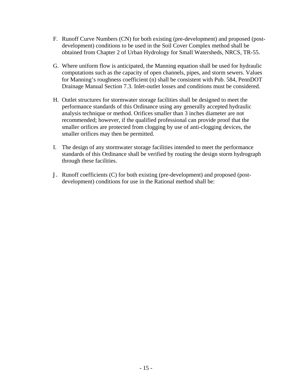- F. Runoff Curve Numbers (CN) for both existing (pre-development) and proposed (postdevelopment) conditions to be used in the Soil Cover Complex method shall be obtained from Chapter 2 of Urban Hydrology for Small Watersheds, NRCS, TR-55.
- G. Where uniform flow is anticipated, the Manning equation shall be used for hydraulic computations such as the capacity of open channels, pipes, and storm sewers. Values for Manning's roughness coefficient (n) shall be consistent with Pub. 584, PennDOT Drainage Manual Section 7.3. Inlet-outlet losses and conditions must be considered.
- H. Outlet structures for stormwater storage facilities shall be designed to meet the performance standards of this Ordinance using any generally accepted hydraulic analysis technique or method. Orifices smaller than 3 inches diameter are not recommended; however, if the qualified professional can provide proof that the smaller orifices are protected from clogging by use of anti-clogging devices, the smaller orifices may then be permitted.
- I. The design of any stormwater storage facilities intended to meet the performance standards of this Ordinance shall be verified by routing the design storm hydrograph through these facilities.
- J. Runoff coefficients (C) for both existing (pre-development) and proposed (postdevelopment) conditions for use in the Rational method shall be: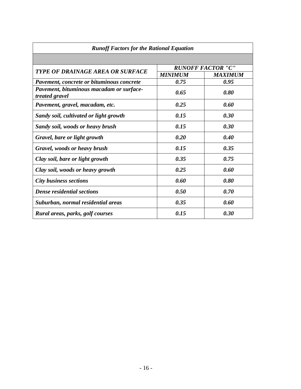| <b>Runoff Factors for the Rational Equation</b>            |                                                                                                                |                |  |  |  |
|------------------------------------------------------------|----------------------------------------------------------------------------------------------------------------|----------------|--|--|--|
|                                                            |                                                                                                                |                |  |  |  |
|                                                            | <b>RUNOFF FACTOR "C"</b>                                                                                       |                |  |  |  |
| TYPE OF DRAINAGE AREA OR SURFACE                           | <b>MINIMUM</b><br>0.75<br>0.65<br>0.25<br>0.15<br>0.15<br>0.20<br>0.15<br>0.35<br>0.25<br>0.60<br>0.50<br>0.35 | <b>MAXIMUM</b> |  |  |  |
| Pavement, concrete or bituminous concrete                  |                                                                                                                | 0.95           |  |  |  |
| Pavement, bituminous macadam or surface-<br>treated gravel |                                                                                                                | 0.80           |  |  |  |
| Pavement, gravel, macadam, etc.                            |                                                                                                                | 0.60           |  |  |  |
| Sandy soil, cultivated or light growth                     |                                                                                                                | 0.30           |  |  |  |
| Sandy soil, woods or heavy brush                           |                                                                                                                | 0.30           |  |  |  |
| Gravel, bare or light growth                               |                                                                                                                | 0.40           |  |  |  |
| Gravel, woods or heavy brush                               |                                                                                                                | 0.35           |  |  |  |
| Clay soil, bare or light growth                            |                                                                                                                | 0.75           |  |  |  |
| Clay soil, woods or heavy growth                           |                                                                                                                | 0.60           |  |  |  |
| <b>City business sections</b>                              |                                                                                                                | 0.80           |  |  |  |
| <b>Dense residential sections</b>                          |                                                                                                                | 0.70           |  |  |  |
| Suburban, normal residential areas                         |                                                                                                                | 0.60           |  |  |  |
| Rural areas, parks, golf courses                           | 0.15                                                                                                           | 0.30           |  |  |  |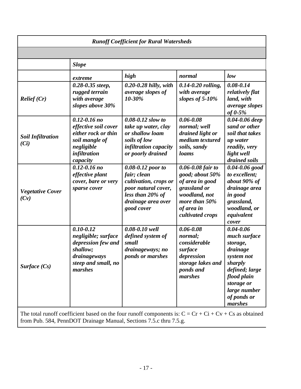| <b>Runoff Coefficient for Rural Watersheds</b> |                                                                                                                                    |                                                                                                                                          |                                                                                                                                                    |                                                                                                                                                                         |  |
|------------------------------------------------|------------------------------------------------------------------------------------------------------------------------------------|------------------------------------------------------------------------------------------------------------------------------------------|----------------------------------------------------------------------------------------------------------------------------------------------------|-------------------------------------------------------------------------------------------------------------------------------------------------------------------------|--|
|                                                |                                                                                                                                    |                                                                                                                                          |                                                                                                                                                    |                                                                                                                                                                         |  |
|                                                | <b>Slope</b>                                                                                                                       |                                                                                                                                          |                                                                                                                                                    |                                                                                                                                                                         |  |
|                                                | extreme                                                                                                                            | high                                                                                                                                     | normal                                                                                                                                             | low                                                                                                                                                                     |  |
| Relief(Cr)                                     | $0.28 - 0.35$ steep,<br>rugged terrain<br>with average<br>slopes above 30%                                                         | $0.20 - 0.28$ hilly, with<br>average slopes of<br>10-30%                                                                                 | $0.14 - 0.20$ rolling,<br>with average<br>slopes of $5-10%$                                                                                        | $0.08 - 0.14$<br>relatively flat<br>land, with<br><i>average slopes</i><br>of $0-5%$                                                                                    |  |
| <b>Soil Infiltration</b><br>(Ci)               | $0.12 - 0.16$ no<br>effective soil cover<br>either rock or thin<br>soil mangle of<br>negligible<br><i>infiltration</i><br>capacity | $0.08 - 0.12$ slow to<br>take up water, clay<br>or shallow loam<br>soils of low<br><i>infiltration capacity</i><br>or poorly drained     | $0.06 - 0.08$<br>normal; well<br>drained light or<br>medium textured<br>soils, sandy<br>loams                                                      | 0.04-0.06 deep<br>sand or other<br>soil that takes<br>up water<br>readily, very<br>light well<br>drained soils                                                          |  |
| <b>Vegetative Cover</b><br>(Cv)                | $0.12 - 0.16$ no<br>effective plant<br>cover, bare or very<br>sparse cover                                                         | 0.08-0.12 poor to<br>fair; clean<br>cultivation, crops or<br>poor natural cover,<br>less than 20% of<br>drainage area over<br>good cover | $0.06 - 0.08$ fair to<br>good; about 50%<br>of area in good<br>grassland or<br>woodland, not<br>more than $50\%$<br>of area in<br>cultivated crops | $0.04 - 0.06$ good<br>to excellent;<br>about 90% of<br>drainage area<br>in good<br>grassland,<br>woodland, or<br>equivalent<br>cover                                    |  |
| Surface $(Cs)$                                 | $0.10 - 0.12$<br>negligible; surface<br>depression few and<br>shallow;<br>drainageways<br>steep and small, no<br>marshes           | 0.08-0.10 well<br>defined system of<br>small<br>drainageways; no<br><i>ponds or marshes</i>                                              | $0.06 - 0.08$<br>normal;<br>considerable<br>surface<br>depression<br>storage lakes and<br>ponds and<br>marshes                                     | $0.04 - 0.06$<br>much surface<br>storage,<br>drainage<br>system not<br>sharply<br>defined; large<br>flood plain<br>storage or<br>large number<br>of ponds or<br>marshes |  |

The total runoff coefficient based on the four runoff components is:  $C = Cr + Ci + Cv + Cs$  as obtained from Pub. 584, PennDOT Drainage Manual, Sections 7.5.c thru 7.5.g.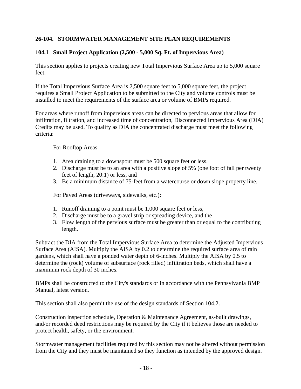## **26-104. STORMWATER MANAGEMENT SITE PLAN REQUIREMENTS**

## **104.1 Small Project Application (2,500 - 5,000 Sq. Ft. of Impervious Area)**

This section applies to projects creating new Total Impervious Surface Area up to 5,000 square feet.

If the Total Impervious Surface Area is 2,500 square feet to 5,000 square feet, the project requires a Small Project Application to be submitted to the City and volume controls must be installed to meet the requirements of the surface area or volume of BMPs required.

For areas where runoff from impervious areas can be directed to pervious areas that allow for infiltration, filtration, and increased time of concentration, Disconnected Impervious Area (DIA) Credits may be used. To qualify as DIA the concentrated discharge must meet the following criteria:

For Rooftop Areas:

- 1. Area draining to a downspout must be 500 square feet or less,
- 2. Discharge must be to an area with a positive slope of 5% (one foot of fall per twenty feet of length, 20:1) or less, and
- 3. Be a minimum distance of 75-feet from a watercourse or down slope property line.

For Paved Areas (driveways, sidewalks, etc.):

- 1. Runoff draining to a point must be 1,000 square feet or less,
- 2. Discharge must be to a gravel strip or spreading device, and the
- 3. Flow length of the pervious surface must be greater than or equal to the contributing length.

Subtract the DIA from the Total Impervious Surface Area to determine the Adjusted Impervious Surface Area (AISA). Multiply the AISA by 0.2 to determine the required surface area of rain gardens, which shall have a ponded water depth of 6-inches. Multiply the AISA by 0.5 to determine the (rock) volume of subsurface (rock filled) infiltration beds, which shall have a maximum rock depth of 30 inches.

BMPs shall be constructed to the City's standards or in accordance with the Pennsylvania BMP Manual, latest version.

This section shall also permit the use of the design standards of Section 104.2.

Construction inspection schedule, Operation & Maintenance Agreement, as-built drawings, and/or recorded deed restrictions may be required by the City if it believes those are needed to protect health, safety, or the environment.

Stormwater management facilities required by this section may not be altered without permission from the City and they must be maintained so they function as intended by the approved design.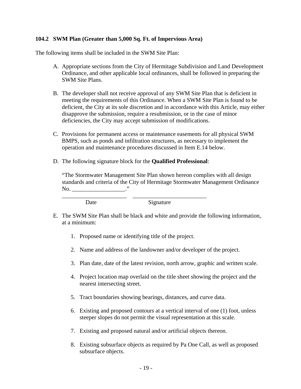#### **104.2 SWM Plan (Greater than 5,000 Sq. Ft. of Impervious Area)**

The following items shall be included in the SWM Site Plan:

- A. Appropriate sections from the City of Hermitage Subdivision and Land Development Ordinance, and other applicable local ordinances, shall be followed in preparing the SWM Site Plans.
- B. The developer shall not receive approval of any SWM Site Plan that is deficient in meeting the requirements of this Ordinance. When a SWM Site Plan is found to be deficient, the City at its sole discretion and in accordance with this Article, may either disapprove the submission, require a resubmission, or in the case of minor deficiencies, the City may accept submission of modifications.
- C. Provisions for permanent access or maintenance easements for all physical SWM BMPS, such as ponds and infiltration structures, as necessary to implement the operation and maintenance procedures discussed in Item E.14 below.
- D. The following signature block for the **Qualified Professional**:

"The Stormwater Management Site Plan shown hereon complies with all design standards and criteria of the City of Hermitage Stormwater Management Ordinance  $\rm No.$   $\qquad$   $\qquad$   $\qquad$   $\qquad$   $\qquad$   $\qquad$   $\qquad$   $\qquad$   $\qquad$   $\qquad$   $\qquad$   $\qquad$   $\qquad$   $\qquad$   $\qquad$   $\qquad$   $\qquad$   $\qquad$   $\qquad$   $\qquad$   $\qquad$   $\qquad$   $\qquad$   $\qquad$   $\qquad$   $\qquad$   $\qquad$   $\qquad$   $\qquad$   $\qquad$   $\qquad$   $\qquad$   $\qquad$   $\qquad$   $\qquad$   $\qquad$ 

Date Signature

- E. The SWM Site Plan shall be black and white and provide the following information, at a minimum:
	- 1. Proposed name or identifying title of the project.

\_\_\_\_\_\_\_\_\_\_\_\_\_\_\_\_\_\_\_\_\_\_ \_\_\_\_\_\_\_\_\_\_\_\_\_\_\_\_\_\_\_\_\_\_\_\_\_

- 2. Name and address of the landowner and/or developer of the project.
- 3. Plan date, date of the latest revision, north arrow, graphic and written scale.
- 4. Project location map overlaid on the title sheet showing the project and the nearest intersecting street.
- 5. Tract boundaries showing bearings, distances, and curve data.
- 6. Existing and proposed contours at a vertical interval of one (1) foot, unless steeper slopes do not permit the visual representation at this scale.
- 7. Existing and proposed natural and/or artificial objects thereon.
- 8. Existing subsurface objects as required by Pa One Call, as well as proposed subsurface objects.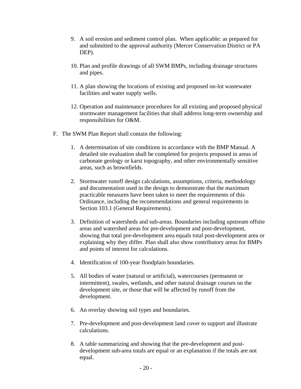- 9. A soil erosion and sediment control plan. When applicable: as prepared for and submitted to the approval authority (Mercer Conservation District or PA DEP).
- 10. Plan and profile drawings of all SWM BMPs, including drainage structures and pipes.
- 11. A plan showing the locations of existing and proposed on-lot wastewater facilities and water supply wells.
- 12. Operation and maintenance procedures for all existing and proposed physical stormwater management facilities that shall address long-term ownership and responsibilities for O&M.
- F. The SWM Plan Report shall contain the following:
	- 1. A determination of site conditions in accordance with the BMP Manual. A detailed site evaluation shall be completed for projects proposed in areas of carbonate geology or karst topography, and other environmentally sensitive areas, such as brownfields.
	- 2. Stormwater runoff design calculations, assumptions, criteria, methodology and documentation used in the design to demonstrate that the maximum practicable measures have been taken to meet the requirements of this Ordinance, including the recommendations and general requirements in Section 103.1 (General Requirements).
	- 3. Definition of watersheds and sub-areas. Boundaries including upstream offsite areas and watershed areas for pre-development and post-development, showing that total pre-development area equals total post-development area or explaining why they differ. Plan shall also show contributory areas for BMPs and points of interest for calculations.
	- 4. Identification of 100-year floodplain boundaries.
	- 5. All bodies of water (natural or artificial), watercourses (permanent or intermittent), swales, wetlands, and other natural drainage courses on the development site, or those that will be affected by runoff from the development.
	- 6. An overlay showing soil types and boundaries.
	- 7. Pre-development and post-development land cover to support and illustrate calculations.
	- 8. A table summarizing and showing that the pre-development and postdevelopment sub-area totals are equal or an explanation if the totals are not equal.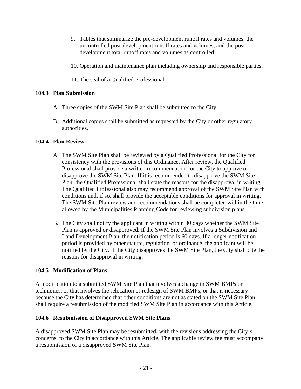- 9. Tables that summarize the pre-development runoff rates and volumes, the uncontrolled post-development runoff rates and volumes, and the postdevelopment total runoff rates and volumes as controlled.
- 10. Operation and maintenance plan including ownership and responsible parties.
- 11. The seal of a Qualified Professional.

## **104.3 Plan Submission**

- A. Three copies of the SWM Site Plan shall be submitted to the City.
- B. Additional copies shall be submitted as requested by the City or other regulatory authorities.

## **104.4 Plan Review**

- A. The SWM Site Plan shall be reviewed by a Qualified Professional for the City for consistency with the provisions of this Ordinance. After review, the Qualified Professional shall provide a written recommendation for the City to approve or disapprove the SWM Site Plan. If it is recommended to disapprove the SWM Site Plan, the Qualified Professional shall state the reasons for the disapproval in writing. The Qualified Professional also may recommend approval of the SWM Site Plan with conditions and, if so, shall provide the acceptable conditions for approval in writing. The SWM Site Plan review and recommendations shall be completed within the time allowed by the Municipalities Planning Code for reviewing subdivision plans.
- B. The City shall notify the applicant in writing within 30 days whether the SWM Site Plan is approved or disapproved. If the SWM Site Plan involves a Subdivision and Land Development Plan, the notification period is 60 days. If a longer notification period is provided by other statute, regulation, or ordinance, the applicant will be notified by the City. If the City disapproves the SWM Site Plan, the City shall cite the reasons for disapproval in writing.

## **104.5 Modification of Plans**

A modification to a submitted SWM Site Plan that involves a change in SWM BMPs or techniques, or that involves the relocation or redesign of SWM BMPs, or that is necessary because the City has determined that other conditions are not as stated on the SWM Site Plan, shall require a resubmission of the modified SWM Site Plan in accordance with this Article.

## **104.6 Resubmission of Disapproved SWM Site Plans**

A disapproved SWM Site Plan may be resubmitted, with the revisions addressing the City's concerns, to the City in accordance with this Article. The applicable review fee must accompany a resubmission of a disapproved SWM Site Plan.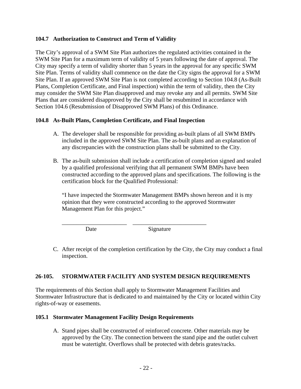#### **104.7 Authorization to Construct and Term of Validity**

The City's approval of a SWM Site Plan authorizes the regulated activities contained in the SWM Site Plan for a maximum term of validity of 5 years following the date of approval. The City may specify a term of validity shorter than 5 years in the approval for any specific SWM Site Plan. Terms of validity shall commence on the date the City signs the approval for a SWM Site Plan. If an approved SWM Site Plan is not completed according to Section 104.8 (As-Built Plans, Completion Certificate, and Final inspection) within the term of validity, then the City may consider the SWM Site Plan disapproved and may revoke any and all permits. SWM Site Plans that are considered disapproved by the City shall be resubmitted in accordance with Section 104.6 (Resubmission of Disapproved SWM Plans) of this Ordinance.

#### **104.8 As-Built Plans, Completion Certificate, and Final Inspection**

- A. The developer shall be responsible for providing as-built plans of all SWM BMPs included in the approved SWM Site Plan. The as-built plans and an explanation of any discrepancies with the construction plans shall be submitted to the City.
- B. The as-built submission shall include a certification of completion signed and sealed by a qualified professional verifying that all permanent SWM BMPs have been constructed according to the approved plans and specifications. The following is the certification block for the Qualified Professional:

"I have inspected the Stormwater Management BMPs shown hereon and it is my opinion that they were constructed according to the approved Stormwater Management Plan for this project."

Date Signature

C. After receipt of the completion certification by the City, the City may conduct a final inspection.

#### **26-105. STORMWATER FACILITY AND SYSTEM DESIGN REQUIREMENTS**

\_\_\_\_\_\_\_\_\_\_\_\_\_\_\_\_\_\_\_\_\_\_ \_\_\_\_\_\_\_\_\_\_\_\_\_\_\_\_\_\_\_\_\_\_\_\_\_

The requirements of this Section shall apply to Stormwater Management Facilities and Stormwater Infrastructure that is dedicated to and maintained by the City or located within City rights-of-way or easements.

#### **105.1 Stormwater Management Facility Design Requirements**

A. Stand pipes shall be constructed of reinforced concrete. Other materials may be approved by the City. The connection between the stand pipe and the outlet culvert must be watertight. Overflows shall be protected with debris grates/racks.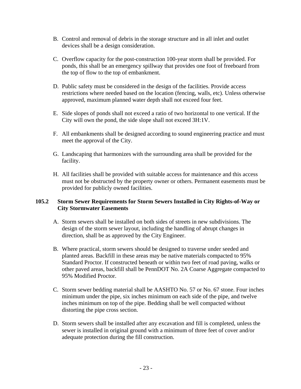- B. Control and removal of debris in the storage structure and in all inlet and outlet devices shall be a design consideration.
- C. Overflow capacity for the post-construction 100-year storm shall be provided. For ponds, this shall be an emergency spillway that provides one foot of freeboard from the top of flow to the top of embankment.
- D. Public safety must be considered in the design of the facilities. Provide access restrictions where needed based on the location (fencing, walls, etc). Unless otherwise approved, maximum planned water depth shall not exceed four feet.
- E. Side slopes of ponds shall not exceed a ratio of two horizontal to one vertical. If the City will own the pond, the side slope shall not exceed 3H:1V.
- F. All embankments shall be designed according to sound engineering practice and must meet the approval of the City.
- G. Landscaping that harmonizes with the surrounding area shall be provided for the facility.
- H. All facilities shall be provided with suitable access for maintenance and this access must not be obstructed by the property owner or others. Permanent easements must be provided for publicly owned facilities.

## **105.2 Storm Sewer Requirements for Storm Sewers Installed in City Rights-of-Way or City Stormwater Easements**

- A. Storm sewers shall be installed on both sides of streets in new subdivisions. The design of the storm sewer layout, including the handling of abrupt changes in direction, shall be as approved by the City Engineer.
- B. Where practical, storm sewers should be designed to traverse under seeded and planted areas. Backfill in these areas may be native materials compacted to 95% Standard Proctor. If constructed beneath or within two feet of road paving, walks or other paved areas, backfill shall be PennDOT No. 2A Coarse Aggregate compacted to 95% Modified Proctor.
- C. Storm sewer bedding material shall be AASHTO No. 57 or No. 67 stone. Four inches minimum under the pipe, six inches minimum on each side of the pipe, and twelve inches minimum on top of the pipe. Bedding shall be well compacted without distorting the pipe cross section.
- D. Storm sewers shall be installed after any excavation and fill is completed, unless the sewer is installed in original ground with a minimum of three feet of cover and/or adequate protection during the fill construction.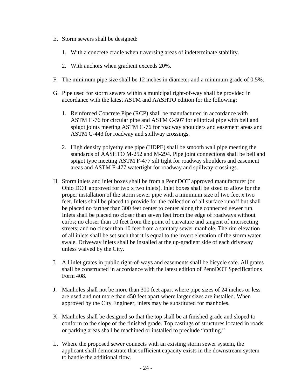- E. Storm sewers shall be designed:
	- 1. With a concrete cradle when traversing areas of indeterminate stability.
	- 2. With anchors when gradient exceeds 20%.
- F. The minimum pipe size shall be 12 inches in diameter and a minimum grade of 0.5%.
- G. Pipe used for storm sewers within a municipal right-of-way shall be provided in accordance with the latest ASTM and AASHTO edition for the following:
	- 1. Reinforced Concrete Pipe (RCP) shall be manufactured in accordance with ASTM C-76 for circular pipe and ASTM C-507 for elliptical pipe with bell and spigot joints meeting ASTM C-76 for roadway shoulders and easement areas and ASTM C-443 for roadway and spillway crossings.
	- 2. High density polyethylene pipe (HDPE) shall be smooth wall pipe meeting the standards of AASHTO M-252 and M-294. Pipe joint connections shall be bell and spigot type meeting ASTM F-477 silt tight for roadway shoulders and easement areas and ASTM F-477 watertight for roadway and spillway crossings.
- H. Storm inlets and inlet boxes shall be from a PennDOT approved manufacturer (or Ohio DOT approved for two x two inlets). Inlet boxes shall be sized to allow for the proper installation of the storm sewer pipe with a minimum size of two feet x two feet. Inlets shall be placed to provide for the collection of all surface runoff but shall be placed no farther than 300 feet center to center along the connected sewer run. Inlets shall be placed no closer than seven feet from the edge of roadways without curbs; no closer than 10 feet from the point of curvature and tangent of intersecting streets; and no closer than 10 feet from a sanitary sewer manhole. The rim elevation of all inlets shall be set such that it is equal to the invert elevation of the storm water swale. Driveway inlets shall be installed at the up-gradient side of each driveway unless waived by the City.
- I. All inlet grates in public right-of-ways and easements shall be bicycle safe. All grates shall be constructed in accordance with the latest edition of PennDOT Specifications Form 408.
- J. Manholes shall not be more than 300 feet apart where pipe sizes of 24 inches or less are used and not more than 450 feet apart where larger sizes are installed. When approved by the City Engineer, inlets may be substituted for manholes.
- K. Manholes shall be designed so that the top shall be at finished grade and sloped to conform to the slope of the finished grade. Top castings of structures located in roads or parking areas shall be machined or installed to preclude "rattling."
- L. Where the proposed sewer connects with an existing storm sewer system, the applicant shall demonstrate that sufficient capacity exists in the downstream system to handle the additional flow.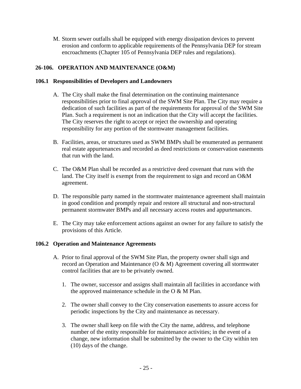M. Storm sewer outfalls shall be equipped with energy dissipation devices to prevent erosion and conform to applicable requirements of the Pennsylvania DEP for stream encroachments (Chapter 105 of Pennsylvania DEP rules and regulations).

## **26-106. OPERATION AND MAINTENANCE (O&M)**

#### **106.1 Responsibilities of Developers and Landowners**

- A. The City shall make the final determination on the continuing maintenance responsibilities prior to final approval of the SWM Site Plan. The City may require a dedication of such facilities as part of the requirements for approval of the SWM Site Plan. Such a requirement is not an indication that the City will accept the facilities. The City reserves the right to accept or reject the ownership and operating responsibility for any portion of the stormwater management facilities.
- B. Facilities, areas, or structures used as SWM BMPs shall be enumerated as permanent real estate appurtenances and recorded as deed restrictions or conservation easements that run with the land.
- C. The O&M Plan shall be recorded as a restrictive deed covenant that runs with the land. The City itself is exempt from the requirement to sign and record an O&M agreement.
- D. The responsible party named in the stormwater maintenance agreement shall maintain in good condition and promptly repair and restore all structural and non-structural permanent stormwater BMPs and all necessary access routes and appurtenances.
- E. The City may take enforcement actions against an owner for any failure to satisfy the provisions of this Article.

## **106.2 Operation and Maintenance Agreements**

- A. Prior to final approval of the SWM Site Plan, the property owner shall sign and record an Operation and Maintenance ( $O & M$ ) Agreement covering all stormwater control facilities that are to be privately owned.
	- 1. The owner, successor and assigns shall maintain all facilities in accordance with the approved maintenance schedule in the O & M Plan.
	- 2. The owner shall convey to the City conservation easements to assure access for periodic inspections by the City and maintenance as necessary.
	- 3. The owner shall keep on file with the City the name, address, and telephone number of the entity responsible for maintenance activities; in the event of a change, new information shall be submitted by the owner to the City within ten (10) days of the change.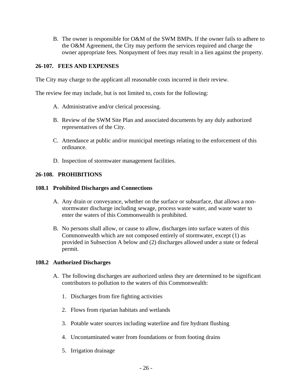B. The owner is responsible for O&M of the SWM BMPs. If the owner fails to adhere to the O&M Agreement, the City may perform the services required and charge the owner appropriate fees. Nonpayment of fees may result in a lien against the property.

## **26-107. FEES AND EXPENSES**

The City may charge to the applicant all reasonable costs incurred in their review.

The review fee may include, but is not limited to, costs for the following:

- A. Administrative and/or clerical processing.
- B. Review of the SWM Site Plan and associated documents by any duly authorized representatives of the City.
- C. Attendance at public and/or municipal meetings relating to the enforcement of this ordinance.
- D. Inspection of stormwater management facilities.

## **26-108. PROHIBITIONS**

#### **108.1 Prohibited Discharges and Connections**

- A. Any drain or conveyance, whether on the surface or subsurface, that allows a nonstormwater discharge including sewage, process waste water, and waste water to enter the waters of this Commonwealth is prohibited.
- B. No persons shall allow, or cause to allow, discharges into surface waters of this Commonwealth which are not composed entirely of stormwater, except (1) as provided in Subsection A below and (2) discharges allowed under a state or federal permit.

#### **108.2 Authorized Discharges**

- A. The following discharges are authorized unless they are determined to be significant contributors to pollution to the waters of this Commonwealth:
	- 1. Discharges from fire fighting activities
	- 2. Flows from riparian habitats and wetlands
	- 3. Potable water sources including waterline and fire hydrant flushing
	- 4. Uncontaminated water from foundations or from footing drains
	- 5. Irrigation drainage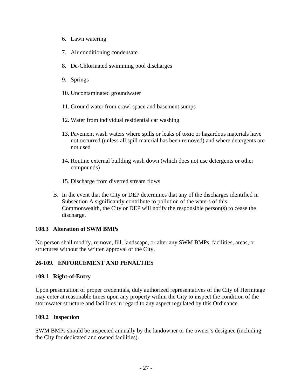- 6. Lawn watering
- 7. Air conditioning condensate
- 8. De-Chlorinated swimming pool discharges
- 9. Springs
- 10. Uncontaminated groundwater
- 11. Ground water from crawl space and basement sumps
- 12. Water from individual residential car washing
- 13. Pavement wash waters where spills or leaks of toxic or hazardous materials have not occurred (unless all spill material has been removed) and where detergents are not used
- 14. Routine external building wash down (which does not use detergents or other compounds)
- 15. Discharge from diverted stream flows
- B. In the event that the City or DEP determines that any of the discharges identified in Subsection A significantly contribute to pollution of the waters of this Commonwealth, the City or DEP will notify the responsible person(s) to cease the discharge.

#### **108.3 Alteration of SWM BMPs**

No person shall modify, remove, fill, landscape, or alter any SWM BMPs, facilities, areas, or structures without the written approval of the City.

## **26-109. ENFORCEMENT AND PENALTIES**

#### **109.1 Right-of-Entry**

Upon presentation of proper credentials, duly authorized representatives of the City of Hermitage may enter at reasonable times upon any property within the City to inspect the condition of the stormwater structure and facilities in regard to any aspect regulated by this Ordinance.

## **109.2 Inspection**

SWM BMPs should be inspected annually by the landowner or the owner's designee (including the City for dedicated and owned facilities).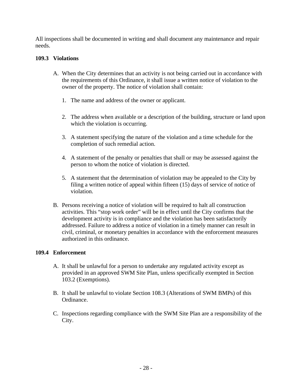All inspections shall be documented in writing and shall document any maintenance and repair needs.

#### **109.3 Violations**

- A. When the City determines that an activity is not being carried out in accordance with the requirements of this Ordinance, it shall issue a written notice of violation to the owner of the property. The notice of violation shall contain:
	- 1. The name and address of the owner or applicant.
	- 2. The address when available or a description of the building, structure or land upon which the violation is occurring.
	- 3. A statement specifying the nature of the violation and a time schedule for the completion of such remedial action.
	- 4. A statement of the penalty or penalties that shall or may be assessed against the person to whom the notice of violation is directed.
	- 5. A statement that the determination of violation may be appealed to the City by filing a written notice of appeal within fifteen (15) days of service of notice of violation.
- B. Persons receiving a notice of violation will be required to halt all construction activities. This "stop work order" will be in effect until the City confirms that the development activity is in compliance and the violation has been satisfactorily addressed. Failure to address a notice of violation in a timely manner can result in civil, criminal, or monetary penalties in accordance with the enforcement measures authorized in this ordinance.

#### **109.4 Enforcement**

- A. It shall be unlawful for a person to undertake any regulated activity except as provided in an approved SWM Site Plan, unless specifically exempted in Section 103.2 (Exemptions).
- B. It shall be unlawful to violate Section 108.3 (Alterations of SWM BMPs) of this Ordinance.
- C. Inspections regarding compliance with the SWM Site Plan are a responsibility of the City.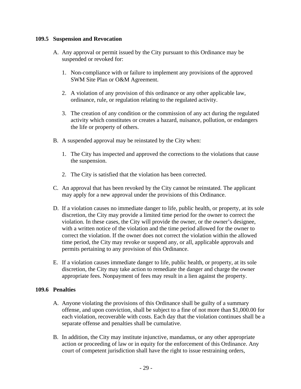#### **109.5 Suspension and Revocation**

- A. Any approval or permit issued by the City pursuant to this Ordinance may be suspended or revoked for:
	- 1. Non-compliance with or failure to implement any provisions of the approved SWM Site Plan or O&M Agreement.
	- 2. A violation of any provision of this ordinance or any other applicable law, ordinance, rule, or regulation relating to the regulated activity.
	- 3. The creation of any condition or the commission of any act during the regulated activity which constitutes or creates a hazard, nuisance, pollution, or endangers the life or property of others.
- B. A suspended approval may be reinstated by the City when:
	- 1. The City has inspected and approved the corrections to the violations that cause the suspension.
	- 2. The City is satisfied that the violation has been corrected.
- C. An approval that has been revoked by the City cannot be reinstated. The applicant may apply for a new approval under the provisions of this Ordinance.
- D. If a violation causes no immediate danger to life, public health, or property, at its sole discretion, the City may provide a limited time period for the owner to correct the violation. In these cases, the City will provide the owner, or the owner's designee, with a written notice of the violation and the time period allowed for the owner to correct the violation. If the owner does not correct the violation within the allowed time period, the City may revoke or suspend any, or all, applicable approvals and permits pertaining to any provision of this Ordinance.
- E. If a violation causes immediate danger to life, public health, or property, at its sole discretion, the City may take action to remediate the danger and charge the owner appropriate fees. Nonpayment of fees may result in a lien against the property.

## **109.6 Penalties**

- A. Anyone violating the provisions of this Ordinance shall be guilty of a summary offense, and upon conviction, shall be subject to a fine of not more than \$1,000.00 for each violation, recoverable with costs. Each day that the violation continues shall be a separate offense and penalties shall be cumulative.
- B. In addition, the City may institute injunctive, mandamus, or any other appropriate action or proceeding of law or in equity for the enforcement of this Ordinance. Any court of competent jurisdiction shall have the right to issue restraining orders,